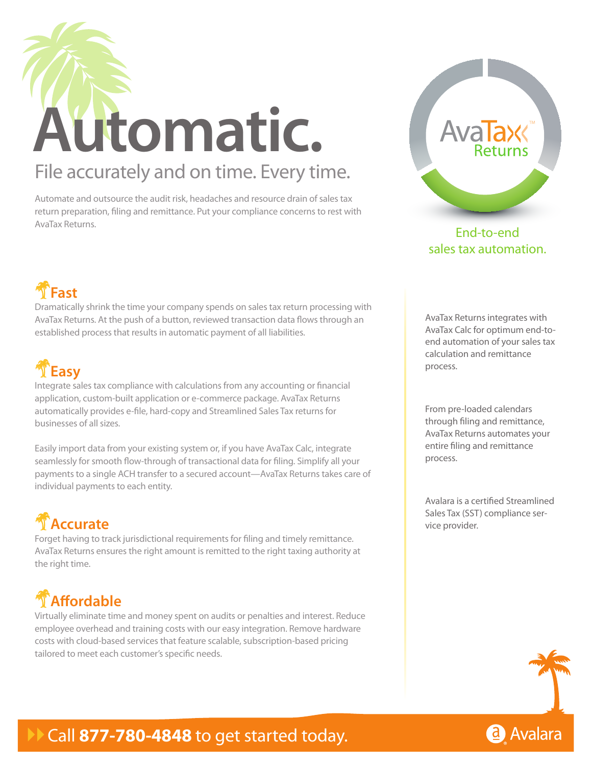

Automate and outsource the audit risk, headaches and resource drain of sales tax return preparation, filing and remittance. Put your compliance concerns to rest with AvaTax Returns.



End-to-end sales tax automation.

## !**Fast**

Dramatically shrink the time your company spends on sales tax return processing with AvaTax Returns. At the push of a button, reviewed transaction data flows through an established process that results in automatic payment of all liabilities.



Integrate sales tax compliance with calculations from any accounting or financial application, custom-built application or e-commerce package. AvaTax Returns automatically provides e-file, hard-copy and Streamlined Sales Tax returns for businesses of all sizes.

Easily import data from your existing system or, if you have AvaTax Calc, integrate seamlessly for smooth flow-through of transactional data for filing. Simplify all your payments to a single ACH transfer to a secured account—AvaTax Returns takes care of individual payments to each entity.

# **T** Accurate

Forget having to track jurisdictional requirements for filing and timely remittance. AvaTax Returns ensures the right amount is remitted to the right taxing authority at the right time.

## !**Affordable**

Virtually eliminate time and money spent on audits or penalties and interest. Reduce employee overhead and training costs with our easy integration. Remove hardware costs with cloud-based services that feature scalable, subscription-based pricing tailored to meet each customer's specific needs.

AvaTax Returns integrates with AvaTax Calc for optimum end-toend automation of your sales tax calculation and remittance process.

From pre-loaded calendars through filing and remittance, AvaTax Returns automates your entire filing and remittance process.

Avalara is a certified Streamlined Sales Tax (SST) compliance service provider.



## Call 877-780-4848 to get started today.